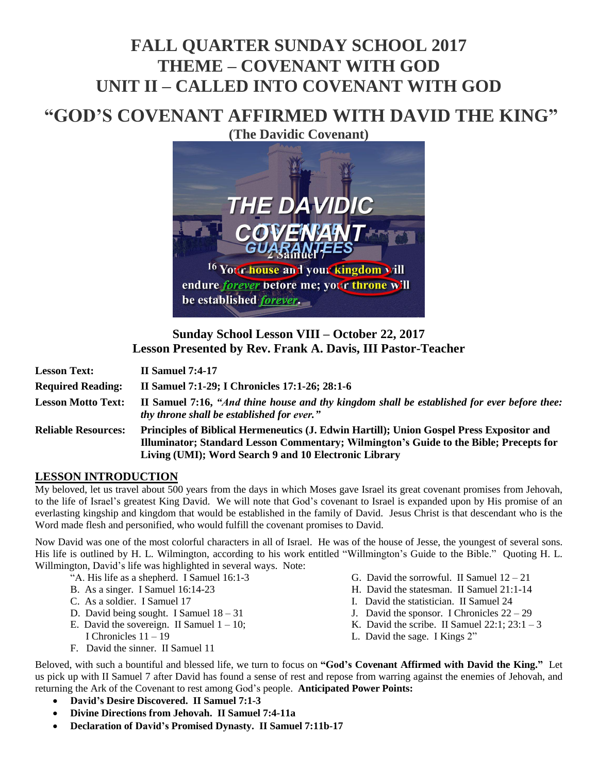# **FALL QUARTER SUNDAY SCHOOL 2017 THEME – COVENANT WITH GOD UNIT II – CALLED INTO COVENANT WITH GOD**

# **"GOD'S COVENANT AFFIRMED WITH DAVID THE KING"**

**(The Davidic Covenant)**



## **Sunday School Lesson VIII – October 22, 2017 Lesson Presented by Rev. Frank A. Davis, III Pastor-Teacher**

| <b>Lesson Text:</b>        | <b>II Samuel 7:4-17</b>                                                                                                                                                                                                                     |
|----------------------------|---------------------------------------------------------------------------------------------------------------------------------------------------------------------------------------------------------------------------------------------|
| <b>Required Reading:</b>   | II Samuel 7:1-29; I Chronicles 17:1-26; 28:1-6                                                                                                                                                                                              |
| <b>Lesson Motto Text:</b>  | II Samuel 7:16, "And thine house and thy kingdom shall be established for ever before thee:<br>thy throne shall be established for ever."                                                                                                   |
| <b>Reliable Resources:</b> | Principles of Biblical Hermeneutics (J. Edwin Hartill); Union Gospel Press Expositor and<br>Illuminator; Standard Lesson Commentary; Wilmington's Guide to the Bible; Precepts for<br>Living (UMI); Word Search 9 and 10 Electronic Library |

#### **LESSON INTRODUCTION**

My beloved, let us travel about 500 years from the days in which Moses gave Israel its great covenant promises from Jehovah, to the life of Israel's greatest King David. We will note that God's covenant to Israel is expanded upon by His promise of an everlasting kingship and kingdom that would be established in the family of David. Jesus Christ is that descendant who is the Word made flesh and personified, who would fulfill the covenant promises to David.

Now David was one of the most colorful characters in all of Israel. He was of the house of Jesse, the youngest of several sons. His life is outlined by H. L. Wilmington, according to his work entitled "Willmington's Guide to the Bible." Quoting H. L. Willmington, David's life was highlighted in several ways. Note:

- "A. His life as a shepherd. I Samuel 16:1-3
- B. As a singer. I Samuel 16:14-23
- C. As a soldier. I Samuel 17
- D. David being sought. I Samuel 18 31
- E. David the sovereign. II Samuel  $1 10$ ;
- I Chronicles 11 19
- F. David the sinner. II Samuel 11
- G. David the sorrowful. II Samuel  $12 21$
- H. David the statesman. II Samuel 21:1-14
- I. David the statistician. II Samuel 24
- J. David the sponsor. I Chronicles  $22 29$
- K. David the scribe. II Samuel  $22:1$ ;  $23:1-3$
- L. David the sage. I Kings 2"

Beloved, with such a bountiful and blessed life, we turn to focus on **"God's Covenant Affirmed with David the King."** Let us pick up with II Samuel 7 after David has found a sense of rest and repose from warring against the enemies of Jehovah, and returning the Ark of the Covenant to rest among God's people. **Anticipated Power Points:**

- **David's Desire Discovered. II Samuel 7:1-3**
- **Divine Directions from Jehovah. II Samuel 7:4-11a**
- **Declaration of David's Promised Dynasty. II Samuel 7:11b-17**